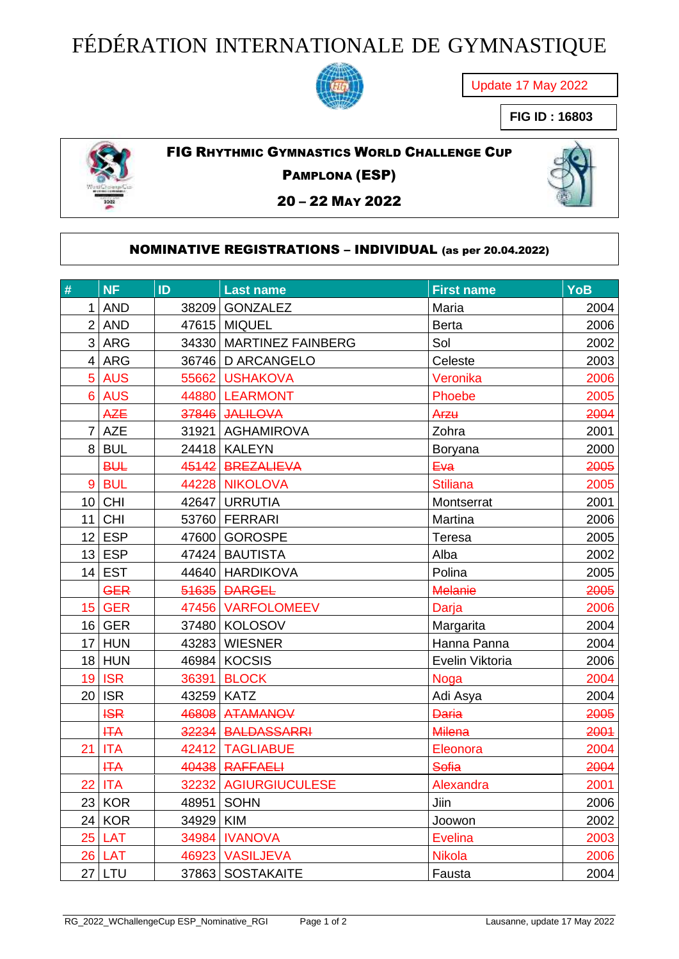## FÉDÉRATION INTERNATIONALE DE GYMNASTIQUE



Update 17 May 2022

**FIG ID : 16803**



FIG RHYTHMIC GYMNASTICS WORLD CHALLENGE CUP

PAMPLONA (ESP)

– 22 MAY 2022

## NOMINATIVE REGISTRATIONS – INDIVIDUAL (as per 20.04.2022)

| $\#$ | <b>NF</b>     | ID         | <b>Last name</b>        | <b>First name</b> | <b>YoB</b> |
|------|---------------|------------|-------------------------|-------------------|------------|
|      | $1$ AND       |            | 38209   GONZALEZ        | Maria             | 2004       |
|      | $2$ AND       |            | 47615 MIQUEL            | <b>Berta</b>      | 2006       |
|      | 3 ARG         |            | 34330 MARTINEZ FAINBERG | Sol               | 2002       |
|      | $4$ ARG       |            | 36746 D ARCANGELO       | Celeste           | 2003       |
|      | 5 AUS         |            | 55662 USHAKOVA          | Veronika          | 2006       |
|      | 6 AUS         |            | 44880 LEARMONT          | Phoebe            | 2005       |
|      | <b>AZE</b>    |            | 37846 JALILOVA          | Arzu              | 2004       |
|      | $7$ AZE       |            | 31921   AGHAMIROVA      | Zohra             | 2001       |
|      | 8 BUL         |            | 24418   KALEYN          | <b>Boryana</b>    | 2000       |
|      | <b>BUL</b>    |            | 45142 BREZALIEVA        | Eva               | 2005       |
|      | 9 BUL         |            | 44228 NIKOLOVA          | <b>Stiliana</b>   | 2005       |
|      | $10$ CHI      |            | 42647 URRUTIA           | Montserrat        | 2001       |
|      | $11$ CHI      |            | 53760   FERRARI         | Martina           | 2006       |
|      | $12$ ESP      |            | 47600 GOROSPE           | Teresa            | 2005       |
|      | $13$ ESP      |            | 47424   BAUTISTA        | Alba              | 2002       |
|      | $14$ EST      |            | 44640   HARDIKOVA       | Polina            | 2005       |
|      | <b>GER</b>    |            | 51635 DARGEL            | <b>Melanie</b>    | 2005       |
|      | <b>15 GER</b> |            | 47456 VARFOLOMEEV       | Darja             | 2006       |
|      | $16$ GER      |            | 37480 KOLOSOV           | Margarita         | 2004       |
|      | $17$ HUN      |            | 43283 WIESNER           | Hanna Panna       | 2004       |
|      | $18$ HUN      |            | 46984 KOCSIS            | Evelin Viktoria   | 2006       |
|      | <b>19 ISR</b> |            | 36391 BLOCK             | <b>Noga</b>       | 2004       |
|      | $20$ ISR      | 43259 KATZ |                         | Adi Asya          | 2004       |
|      | <b>ISR</b>    |            | 46808 ATAMANOV          | <b>Daria</b>      | 2005       |
|      | <b>HTA</b>    |            | 32234 BALDASSARRI       | <b>Milena</b>     | 2001       |
| 21   | <b>ITA</b>    |            | 42412 TAGLIABUE         | Eleonora          | 2004       |
|      | <b>HTA</b>    |            | 40438 RAFFAELI          | <b>Sofia</b>      | 2004       |
|      | <b>22 ITA</b> |            | 32232 AGIURGIUCULESE    | Alexandra         | 2001       |
|      | $23$ KOR      |            | 48951   SOHN            | Jiin              | 2006       |
|      | $24$ KOR      | 34929 KIM  |                         | Joowon            | 2002       |
|      | $25$ LAT      |            | 34984 IVANOVA           | <b>Evelina</b>    | 2003       |
|      | <b>26 LAT</b> |            | 46923 VASILJEVA         | <b>Nikola</b>     | 2006       |
|      | $27$ LTU      |            | 37863 SOSTAKAITE        | Fausta            | 2004       |